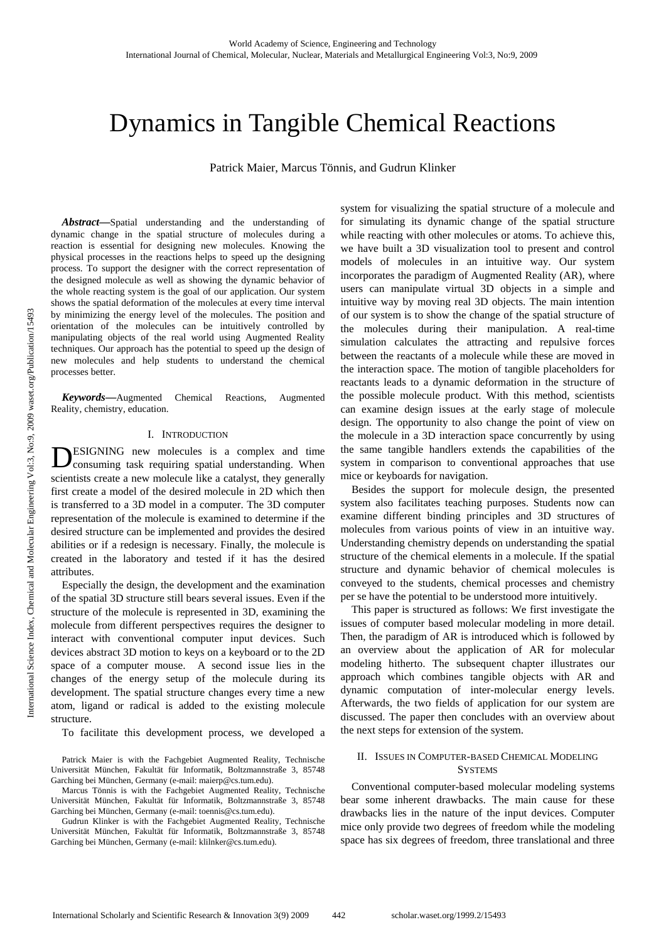# Dynamics in Tangible Chemical Reactions

Patrick Maier, Marcus Tönnis, and Gudrun Klinker

*Abstract***—**Spatial understanding and the understanding of dynamic change in the spatial structure of molecules during a reaction is essential for designing new molecules. Knowing the physical processes in the reactions helps to speed up the designing process. To support the designer with the correct representation of the designed molecule as well as showing the dynamic behavior of the whole reacting system is the goal of our application. Our system shows the spatial deformation of the molecules at every time interval by minimizing the energy level of the molecules. The position and orientation of the molecules can be intuitively controlled by manipulating objects of the real world using Augmented Reality techniques. Our approach has the potential to speed up the design of new molecules and help students to understand the chemical processes better.

*Keywords***—**Augmented Chemical Reactions, Augmented Reality, chemistry, education.

### I. INTRODUCTION

ESIGNING new molecules is a complex and time **DESIGNING** new molecules is a complex and time consuming task requiring spatial understanding. When scientists create a new molecule like a catalyst, they generally first create a model of the desired molecule in 2D which then is transferred to a 3D model in a computer. The 3D computer representation of the molecule is examined to determine if the desired structure can be implemented and provides the desired abilities or if a redesign is necessary. Finally, the molecule is created in the laboratory and tested if it has the desired attributes.

Especially the design, the development and the examination of the spatial 3D structure still bears several issues. Even if the structure of the molecule is represented in 3D, examining the molecule from different perspectives requires the designer to interact with conventional computer input devices. Such devices abstract 3D motion to keys on a keyboard or to the 2D space of a computer mouse. A second issue lies in the changes of the energy setup of the molecule during its development. The spatial structure changes every time a new atom, ligand or radical is added to the existing molecule structure.

To facilitate this development process, we developed a

Patrick Maier is with the Fachgebiet Augmented Reality, Technische Universität München, Fakultät für Informatik, Boltzmannstraße 3, 85748 Garching bei München, Germany (e-mail: maierp@cs.tum.edu).

Marcus Tönnis is with the Fachgebiet Augmented Reality, Technische Universität München, Fakultät für Informatik, Boltzmannstraße 3, 85748 Garching bei München, Germany (e-mail: toennis@cs.tum.edu).

Gudrun Klinker is with the Fachgebiet Augmented Reality, Technische Universität München, Fakultät für Informatik, Boltzmannstraße 3, 85748 Garching bei München, Germany (e-mail: klilnker@cs.tum.edu).

system for visualizing the spatial structure of a molecule and for simulating its dynamic change of the spatial structure while reacting with other molecules or atoms. To achieve this, we have built a 3D visualization tool to present and control models of molecules in an intuitive way. Our system incorporates the paradigm of Augmented Reality (AR), where users can manipulate virtual 3D objects in a simple and intuitive way by moving real 3D objects. The main intention of our system is to show the change of the spatial structure of the molecules during their manipulation. A real-time simulation calculates the attracting and repulsive forces between the reactants of a molecule while these are moved in the interaction space. The motion of tangible placeholders for reactants leads to a dynamic deformation in the structure of the possible molecule product. With this method, scientists can examine design issues at the early stage of molecule design. The opportunity to also change the point of view on the molecule in a 3D interaction space concurrently by using the same tangible handlers extends the capabilities of the system in comparison to conventional approaches that use mice or keyboards for navigation.

Besides the support for molecule design, the presented system also facilitates teaching purposes. Students now can examine different binding principles and 3D structures of molecules from various points of view in an intuitive way. Understanding chemistry depends on understanding the spatial structure of the chemical elements in a molecule. If the spatial structure and dynamic behavior of chemical molecules is conveyed to the students, chemical processes and chemistry per se have the potential to be understood more intuitively.

This paper is structured as follows: We first investigate the issues of computer based molecular modeling in more detail. Then, the paradigm of AR is introduced which is followed by an overview about the application of AR for molecular modeling hitherto. The subsequent chapter illustrates our approach which combines tangible objects with AR and dynamic computation of inter-molecular energy levels. Afterwards, the two fields of application for our system are discussed. The paper then concludes with an overview about the next steps for extension of the system.

## II. ISSUES IN COMPUTER-BASED CHEMICAL MODELING **SYSTEMS**

Conventional computer-based molecular modeling systems bear some inherent drawbacks. The main cause for these drawbacks lies in the nature of the input devices. Computer mice only provide two degrees of freedom while the modeling space has six degrees of freedom, three translational and three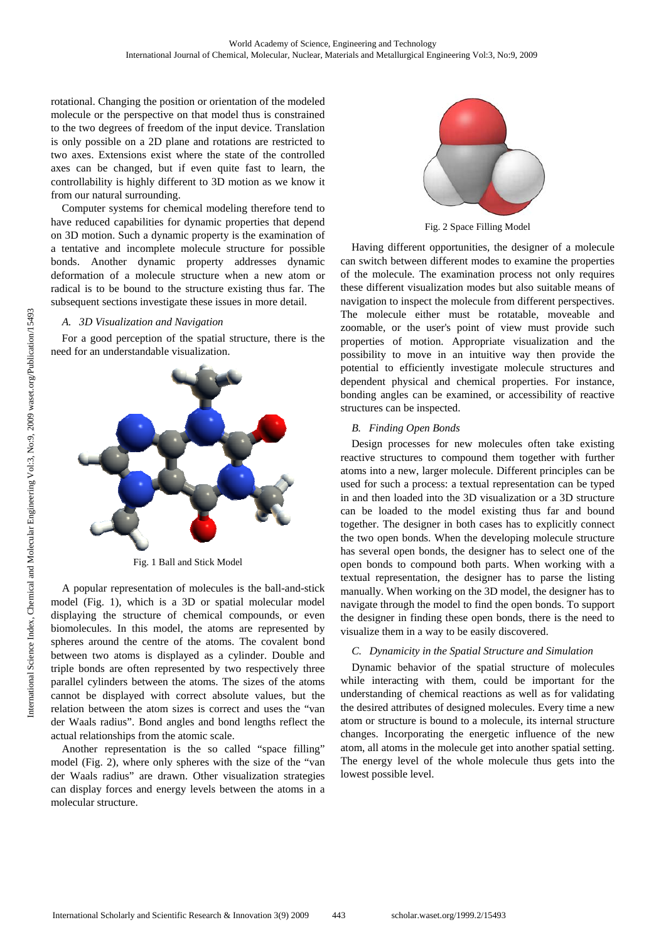rotational. Changing the position or orientation of the modeled molecule or the perspective on that model thus is constrained to the two degrees of freedom of the input device. Translation is only possible on a 2D plane and rotations are restricted to two axes. Extensions exist where the state of the controlled axes can be changed, but if even quite fast to learn, the controllability is highly different to 3D motion as we know it from our natural surrounding.

Computer systems for chemical modeling therefore tend to have reduced capabilities for dynamic properties that depend on 3D motion. Such a dynamic property is the examination of a tentative and incomplete molecule structure for possible bonds. Another dynamic property addresses dynamic deformation of a molecule structure when a new atom or radical is to be bound to the structure existing thus far. The subsequent sections investigate these issues in more detail.

### *A. 3D Visualization and Navigation*

For a good perception of the spatial structure, there is the need for an understandable visualization.



Fig. 1 Ball and Stick Model

A popular representation of molecules is the ball-and-stick model (Fig. 1), which is a 3D or spatial molecular model displaying the structure of chemical compounds, or even biomolecules. In this model, the atoms are represented by spheres around the centre of the atoms. The covalent bond between two atoms is displayed as a cylinder. Double and triple bonds are often represented by two respectively three parallel cylinders between the atoms. The sizes of the atoms cannot be displayed with correct absolute values, but the relation between the atom sizes is correct and uses the "van der Waals radius". Bond angles and bond lengths reflect the actual relationships from the atomic scale.

Another representation is the so called "space filling" model (Fig. 2), where only spheres with the size of the "van der Waals radius" are drawn. Other visualization strategies can display forces and energy levels between the atoms in a molecular structure.



Fig. 2 Space Filling Model

Having different opportunities, the designer of a molecule can switch between different modes to examine the properties of the molecule. The examination process not only requires these different visualization modes but also suitable means of navigation to inspect the molecule from different perspectives. The molecule either must be rotatable, moveable and zoomable, or the user's point of view must provide such properties of motion. Appropriate visualization and the possibility to move in an intuitive way then provide the potential to efficiently investigate molecule structures and dependent physical and chemical properties. For instance, bonding angles can be examined, or accessibility of reactive structures can be inspected.

### *B. Finding Open Bonds*

Design processes for new molecules often take existing reactive structures to compound them together with further atoms into a new, larger molecule. Different principles can be used for such a process: a textual representation can be typed in and then loaded into the 3D visualization or a 3D structure can be loaded to the model existing thus far and bound together. The designer in both cases has to explicitly connect the two open bonds. When the developing molecule structure has several open bonds, the designer has to select one of the open bonds to compound both parts. When working with a textual representation, the designer has to parse the listing manually. When working on the 3D model, the designer has to navigate through the model to find the open bonds. To support the designer in finding these open bonds, there is the need to visualize them in a way to be easily discovered.

# *C. Dynamicity in the Spatial Structure and Simulation*

Dynamic behavior of the spatial structure of molecules while interacting with them, could be important for the understanding of chemical reactions as well as for validating the desired attributes of designed molecules. Every time a new atom or structure is bound to a molecule, its internal structure changes. Incorporating the energetic influence of the new atom, all atoms in the molecule get into another spatial setting. The energy level of the whole molecule thus gets into the lowest possible level.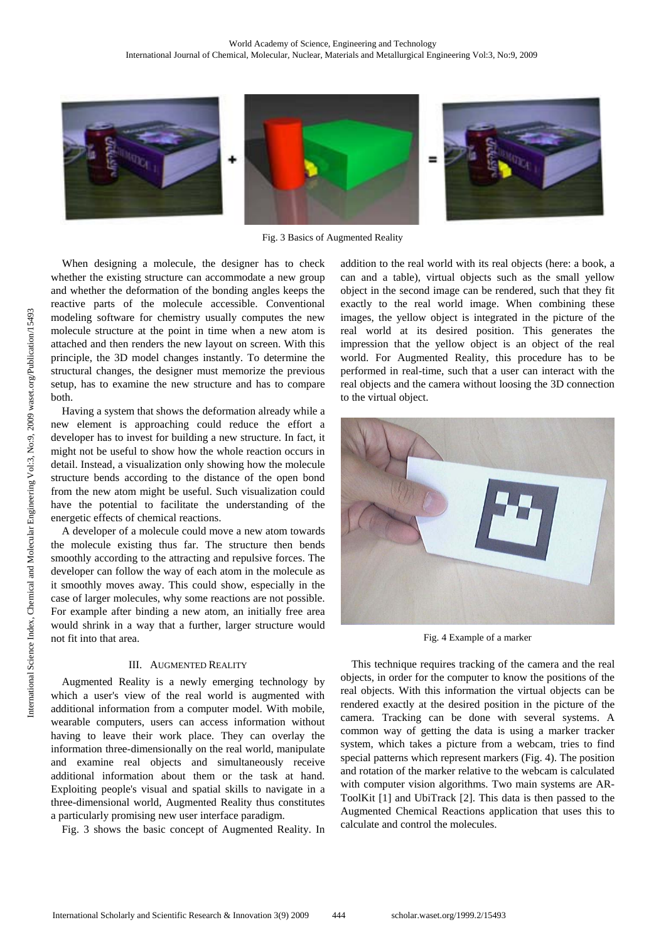

Fig. 3 Basics of Augmented Reality

When designing a molecule, the designer has to check whether the existing structure can accommodate a new group and whether the deformation of the bonding angles keeps the reactive parts of the molecule accessible. Conventional modeling software for chemistry usually computes the new molecule structure at the point in time when a new atom is attached and then renders the new layout on screen. With this principle, the 3D model changes instantly. To determine the structural changes, the designer must memorize the previous setup, has to examine the new structure and has to compare both.

Having a system that shows the deformation already while a new element is approaching could reduce the effort a developer has to invest for building a new structure. In fact, it might not be useful to show how the whole reaction occurs in detail. Instead, a visualization only showing how the molecule structure bends according to the distance of the open bond from the new atom might be useful. Such visualization could have the potential to facilitate the understanding of the energetic effects of chemical reactions.

A developer of a molecule could move a new atom towards the molecule existing thus far. The structure then bends smoothly according to the attracting and repulsive forces. The developer can follow the way of each atom in the molecule as it smoothly moves away. This could show, especially in the case of larger molecules, why some reactions are not possible. For example after binding a new atom, an initially free area would shrink in a way that a further, larger structure would not fit into that area.

# III. AUGMENTED REALITY

Augmented Reality is a newly emerging technology by which a user's view of the real world is augmented with additional information from a computer model. With mobile, wearable computers, users can access information without having to leave their work place. They can overlay the information three-dimensionally on the real world, manipulate and examine real objects and simultaneously receive additional information about them or the task at hand. Exploiting people's visual and spatial skills to navigate in a three-dimensional world, Augmented Reality thus constitutes a particularly promising new user interface paradigm.

Fig. 3 shows the basic concept of Augmented Reality. In

addition to the real world with its real objects (here: a book, a can and a table), virtual objects such as the small yellow object in the second image can be rendered, such that they fit exactly to the real world image. When combining these images, the yellow object is integrated in the picture of the real world at its desired position. This generates the impression that the yellow object is an object of the real world. For Augmented Reality, this procedure has to be performed in real-time, such that a user can interact with the real objects and the camera without loosing the 3D connection to the virtual object.



Fig. 4 Example of a marker

This technique requires tracking of the camera and the real objects, in order for the computer to know the positions of the real objects. With this information the virtual objects can be rendered exactly at the desired position in the picture of the camera. Tracking can be done with several systems. A common way of getting the data is using a marker tracker system, which takes a picture from a webcam, tries to find special patterns which represent markers (Fig. 4). The position and rotation of the marker relative to the webcam is calculated with computer vision algorithms. Two main systems are AR-ToolKit [1] and UbiTrack [2]. This data is then passed to the Augmented Chemical Reactions application that uses this to calculate and control the molecules.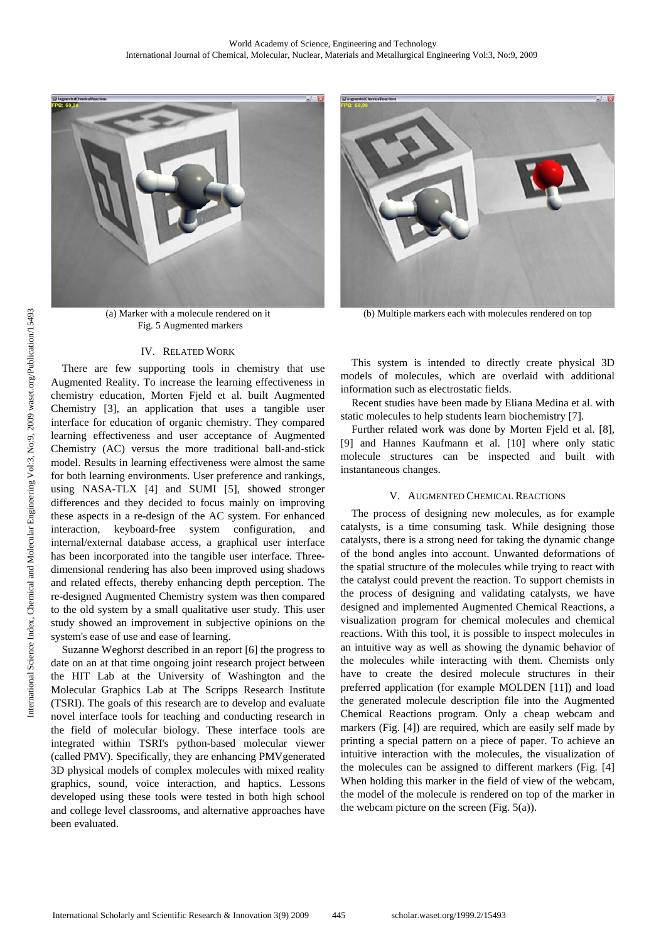

(a) Marker with a molecule rendered on it Fig. 5 Augmented markers

#### IV. RELATED WORK

There are few supporting tools in chemistry that use Augmented Reality. To increase the learning effectiveness in chemistry education, Morten Fjeld et al. built Augmented Chemistry [3], an application that uses a tangible user interface for education of organic chemistry. They compared learning effectiveness and user acceptance of Augmented Chemistry (AC) versus the more traditional ball-and-stick model. Results in learning effectiveness were almost the same for both learning environments. User preference and rankings, using NASA-TLX [4] and SUMI [5], showed stronger differences and they decided to focus mainly on improving these aspects in a re-design of the AC system. For enhanced interaction, keyboard-free system configuration, and internal/external database access, a graphical user interface has been incorporated into the tangible user interface. Threedimensional rendering has also been improved using shadows and related effects, thereby enhancing depth perception. The re-designed Augmented Chemistry system was then compared to the old system by a small qualitative user study. This user study showed an improvement in subjective opinions on the system's ease of use and ease of learning.

Suzanne Weghorst described in an report [6] the progress to date on an at that time ongoing joint research project between the HIT Lab at the University of Washington and the Molecular Graphics Lab at The Scripps Research Institute (TSRI). The goals of this research are to develop and evaluate novel interface tools for teaching and conducting research in the field of molecular biology. These interface tools are integrated within TSRI's python-based molecular viewer (called PMV). Specifically, they are enhancing PMVgenerated 3D physical models of complex molecules with mixed reality graphics, sound, voice interaction, and haptics. Lessons developed using these tools were tested in both high school and college level classrooms, and alternative approaches have been evaluated.



(b) Multiple markers each with molecules rendered on top

This system is intended to directly create physical 3D models of molecules, which are overlaid with additional information such as electrostatic fields.

Recent studies have been made by Eliana Medina et al. with static molecules to help students learn biochemistry [7].

Further related work was done by Morten Fjeld et al. [8], [9] and Hannes Kaufmann et al. [10] where only static molecule structures can be inspected and built with instantaneous changes.

### V. AUGMENTED CHEMICAL REACTIONS

The process of designing new molecules, as for example catalysts, is a time consuming task. While designing those catalysts, there is a strong need for taking the dynamic change of the bond angles into account. Unwanted deformations of the spatial structure of the molecules while trying to react with the catalyst could prevent the reaction. To support chemists in the process of designing and validating catalysts, we have designed and implemented Augmented Chemical Reactions, a visualization program for chemical molecules and chemical reactions. With this tool, it is possible to inspect molecules in an intuitive way as well as showing the dynamic behavior of the molecules while interacting with them. Chemists only have to create the desired molecule structures in their preferred application (for example MOLDEN [11]) and load the generated molecule description file into the Augmented Chemical Reactions program. Only a cheap webcam and markers (Fig. [4]) are required, which are easily self made by printing a special pattern on a piece of paper. To achieve an intuitive interaction with the molecules, the visualization of the molecules can be assigned to different markers (Fig. [4] When holding this marker in the field of view of the webcam, the model of the molecule is rendered on top of the marker in the webcam picture on the screen (Fig.  $5(a)$ ).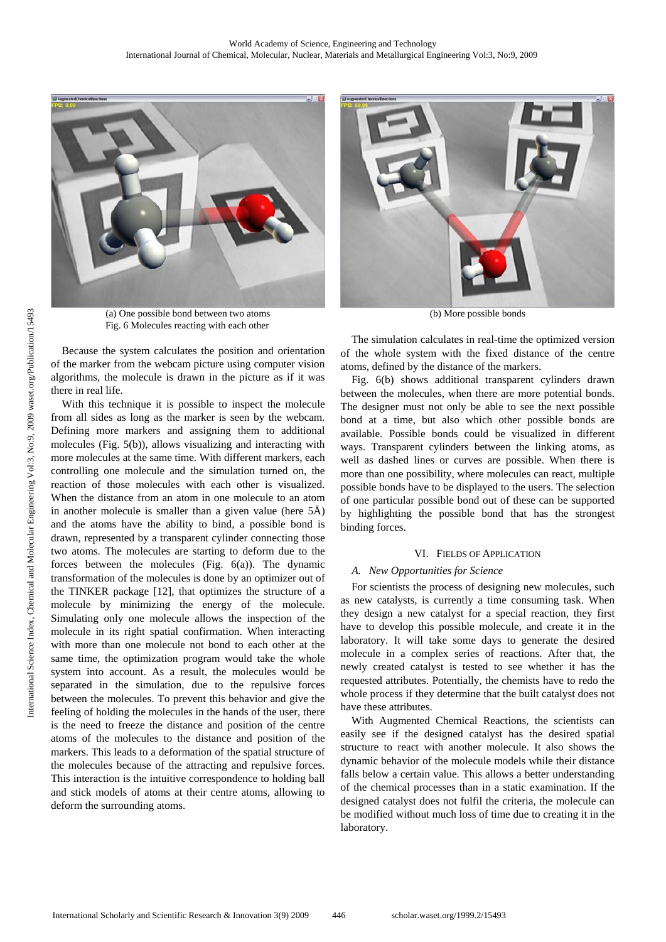

(a) One possible bond between two atoms Fig. 6 Molecules reacting with each other

Because the system calculates the position and orientation of the marker from the webcam picture using computer vision algorithms, the molecule is drawn in the picture as if it was there in real life.

With this technique it is possible to inspect the molecule from all sides as long as the marker is seen by the webcam. Defining more markers and assigning them to additional molecules (Fig. 5(b)), allows visualizing and interacting with more molecules at the same time. With different markers, each controlling one molecule and the simulation turned on, the reaction of those molecules with each other is visualized. When the distance from an atom in one molecule to an atom in another molecule is smaller than a given value (here 5Å) and the atoms have the ability to bind, a possible bond is drawn, represented by a transparent cylinder connecting those two atoms. The molecules are starting to deform due to the forces between the molecules (Fig. 6(a)). The dynamic transformation of the molecules is done by an optimizer out of the TINKER package [12], that optimizes the structure of a molecule by minimizing the energy of the molecule. Simulating only one molecule allows the inspection of the molecule in its right spatial confirmation. When interacting with more than one molecule not bond to each other at the same time, the optimization program would take the whole system into account. As a result, the molecules would be separated in the simulation, due to the repulsive forces between the molecules. To prevent this behavior and give the feeling of holding the molecules in the hands of the user, there is the need to freeze the distance and position of the centre atoms of the molecules to the distance and position of the markers. This leads to a deformation of the spatial structure of the molecules because of the attracting and repulsive forces. This interaction is the intuitive correspondence to holding ball and stick models of atoms at their centre atoms, allowing to deform the surrounding atoms.



(b) More possible bonds

The simulation calculates in real-time the optimized version of the whole system with the fixed distance of the centre atoms, defined by the distance of the markers.

Fig. 6(b) shows additional transparent cylinders drawn between the molecules, when there are more potential bonds. The designer must not only be able to see the next possible bond at a time, but also which other possible bonds are available. Possible bonds could be visualized in different ways. Transparent cylinders between the linking atoms, as well as dashed lines or curves are possible. When there is more than one possibility, where molecules can react, multiple possible bonds have to be displayed to the users. The selection of one particular possible bond out of these can be supported by highlighting the possible bond that has the strongest binding forces.

# VI. FIELDS OF APPLICATION

# *A. New Opportunities for Science*

For scientists the process of designing new molecules, such as new catalysts, is currently a time consuming task. When they design a new catalyst for a special reaction, they first have to develop this possible molecule, and create it in the laboratory. It will take some days to generate the desired molecule in a complex series of reactions. After that, the newly created catalyst is tested to see whether it has the requested attributes. Potentially, the chemists have to redo the whole process if they determine that the built catalyst does not have these attributes.

With Augmented Chemical Reactions, the scientists can easily see if the designed catalyst has the desired spatial structure to react with another molecule. It also shows the dynamic behavior of the molecule models while their distance falls below a certain value. This allows a better understanding of the chemical processes than in a static examination. If the designed catalyst does not fulfil the criteria, the molecule can be modified without much loss of time due to creating it in the laboratory.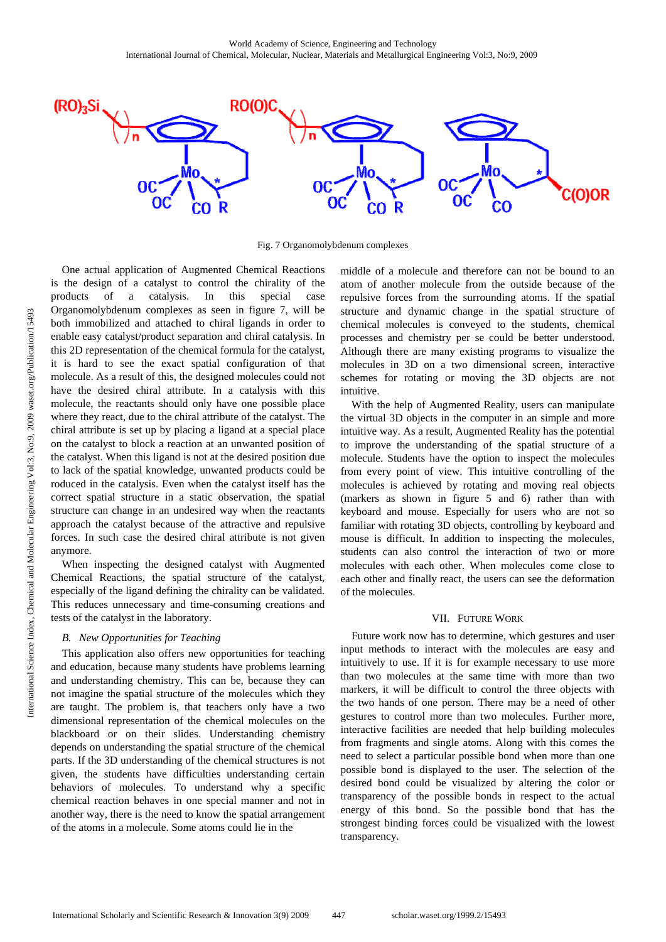

Fig. 7 Organomolybdenum complexes

One actual application of Augmented Chemical Reactions is the design of a catalyst to control the chirality of the products of a catalysis. In this special case Organomolybdenum complexes as seen in figure 7, will be both immobilized and attached to chiral ligands in order to enable easy catalyst/product separation and chiral catalysis. In this 2D representation of the chemical formula for the catalyst, it is hard to see the exact spatial configuration of that molecule. As a result of this, the designed molecules could not have the desired chiral attribute. In a catalysis with this molecule, the reactants should only have one possible place where they react, due to the chiral attribute of the catalyst. The chiral attribute is set up by placing a ligand at a special place on the catalyst to block a reaction at an unwanted position of the catalyst. When this ligand is not at the desired position due to lack of the spatial knowledge, unwanted products could be roduced in the catalysis. Even when the catalyst itself has the correct spatial structure in a static observation, the spatial structure can change in an undesired way when the reactants approach the catalyst because of the attractive and repulsive forces. In such case the desired chiral attribute is not given anymore.

When inspecting the designed catalyst with Augmented Chemical Reactions, the spatial structure of the catalyst, especially of the ligand defining the chirality can be validated. This reduces unnecessary and time-consuming creations and tests of the catalyst in the laboratory.

# *B. New Opportunities for Teaching*

This application also offers new opportunities for teaching and education, because many students have problems learning and understanding chemistry. This can be, because they can not imagine the spatial structure of the molecules which they are taught. The problem is, that teachers only have a two dimensional representation of the chemical molecules on the blackboard or on their slides. Understanding chemistry depends on understanding the spatial structure of the chemical parts. If the 3D understanding of the chemical structures is not given, the students have difficulties understanding certain behaviors of molecules. To understand why a specific chemical reaction behaves in one special manner and not in another way, there is the need to know the spatial arrangement of the atoms in a molecule. Some atoms could lie in the

middle of a molecule and therefore can not be bound to an atom of another molecule from the outside because of the repulsive forces from the surrounding atoms. If the spatial structure and dynamic change in the spatial structure of chemical molecules is conveyed to the students, chemical processes and chemistry per se could be better understood. Although there are many existing programs to visualize the molecules in 3D on a two dimensional screen, interactive schemes for rotating or moving the 3D objects are not intuitive.

With the help of Augmented Reality, users can manipulate the virtual 3D objects in the computer in an simple and more intuitive way. As a result, Augmented Reality has the potential to improve the understanding of the spatial structure of a molecule. Students have the option to inspect the molecules from every point of view. This intuitive controlling of the molecules is achieved by rotating and moving real objects (markers as shown in figure 5 and 6) rather than with keyboard and mouse. Especially for users who are not so familiar with rotating 3D objects, controlling by keyboard and mouse is difficult. In addition to inspecting the molecules, students can also control the interaction of two or more molecules with each other. When molecules come close to each other and finally react, the users can see the deformation of the molecules.

#### VII. FUTURE WORK

Future work now has to determine, which gestures and user input methods to interact with the molecules are easy and intuitively to use. If it is for example necessary to use more than two molecules at the same time with more than two markers, it will be difficult to control the three objects with the two hands of one person. There may be a need of other gestures to control more than two molecules. Further more, interactive facilities are needed that help building molecules from fragments and single atoms. Along with this comes the need to select a particular possible bond when more than one possible bond is displayed to the user. The selection of the desired bond could be visualized by altering the color or transparency of the possible bonds in respect to the actual energy of this bond. So the possible bond that has the strongest binding forces could be visualized with the lowest transparency.